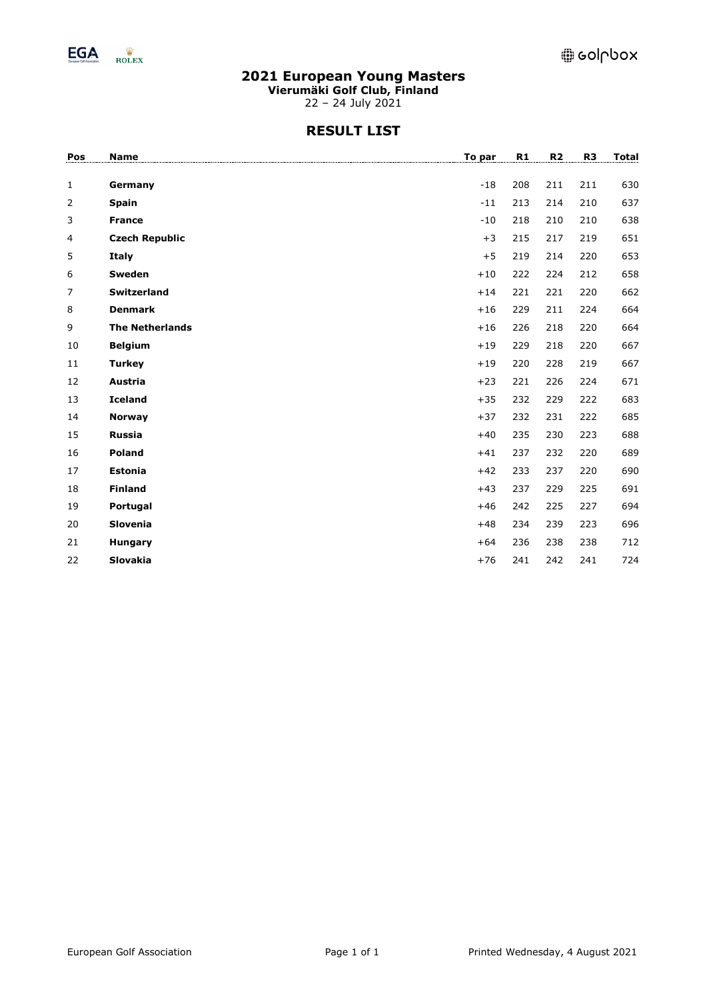

**Vierumäki Golf Club, Finland**

22 – 24 July 2021

# **RESULT LIST**

| <b>Name</b>            | To par  | R1    | R <sub>2</sub> | R <sub>3</sub> | <b>Total</b> |
|------------------------|---------|-------|----------------|----------------|--------------|
|                        |         |       |                |                |              |
|                        |         |       |                |                | 630          |
| <b>Spain</b>           | $-11$   |       | 214            | 210            | 637          |
| <b>France</b>          | $-10$   | 218   | 210            | 210            | 638          |
| <b>Czech Republic</b>  | $+3$    | 215   | 217            | 219            | 651          |
| <b>Italy</b>           | $+5$    | 219   | 214            | 220            | 653          |
| Sweden                 | $+10$   | 222   | 224            | 212            | 658          |
| Switzerland            | $+14$   | 221   | 221            | 220            | 662          |
| <b>Denmark</b>         | $+16$   | 229   | 211            | 224            | 664          |
| <b>The Netherlands</b> | $+16$   | 226   | 218            | 220            | 664          |
| <b>Belgium</b>         | $+19$   | 229   | 218            | 220            | 667          |
| <b>Turkey</b>          | $+19$   | 220   | 228            | 219            | 667          |
| Austria                | $+23$   | 221   | 226            | 224            | 671          |
| <b>Iceland</b>         | $+35$   | 232   | 229            | 222            | 683          |
| <b>Norway</b>          | $+37$   | 232   | 231            | 222            | 685          |
| <b>Russia</b>          | $+40$   | 235   | 230            | 223            | 688          |
| Poland                 | $+41$   | 237   | 232            | 220            | 689          |
| <b>Estonia</b>         | $+42$   | 233   | 237            | 220            | 690          |
| <b>Finland</b>         | $+43$   | 237   | 229            | 225            | 691          |
| Portugal               | $+46$   | 242   | 225            | 227            | 694          |
| Slovenia               | $+48$   | 234   | 239            | 223            | 696          |
| Hungary                | $+64$   | 236   | 238            | 238            | 712          |
| Slovakia               | $+76$   | 241   | 242            | 241            | 724          |
|                        | Germany | $-18$ | 208<br>213     | 211            | 211          |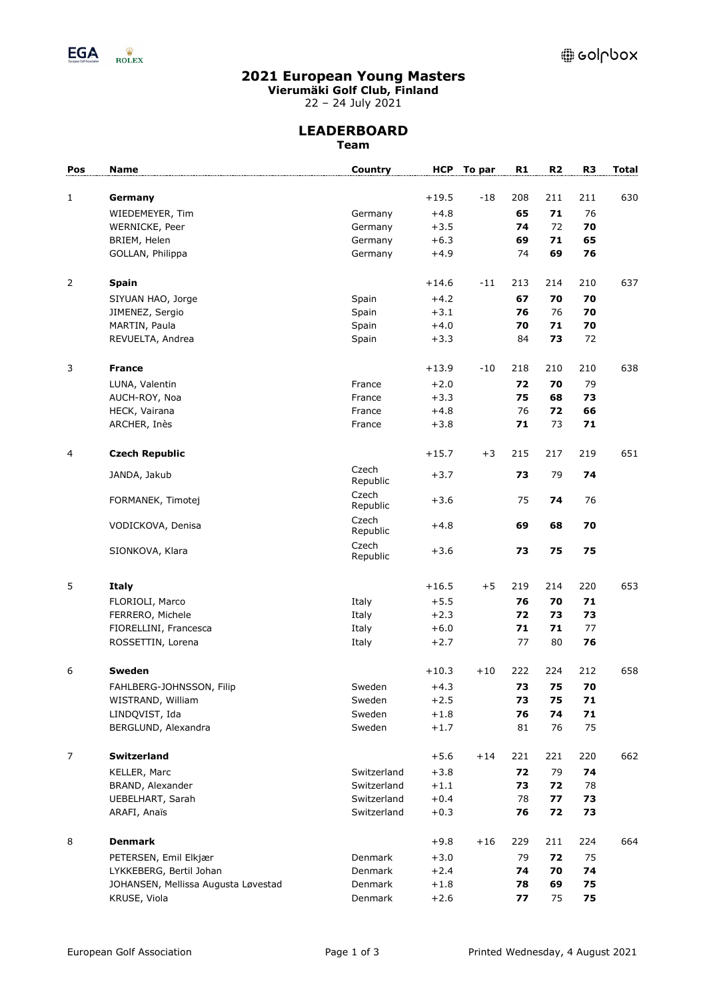

**Vierumäki Golf Club, Finland**

22 – 24 July 2021

## **LEADERBOARD Team**

| Pos            | Name                                | Country           | <b>HCP</b> | To par | R1  | R <sub>2</sub> | R <sub>3</sub> | <b>Total</b> |
|----------------|-------------------------------------|-------------------|------------|--------|-----|----------------|----------------|--------------|
|                |                                     |                   |            |        |     |                |                |              |
| $\mathbf{1}$   | Germany                             |                   | $+19.5$    | $-18$  | 208 | 211            | 211            | 630          |
|                | WIEDEMEYER, Tim                     | Germany           | $+4.8$     |        | 65  | 71             | 76             |              |
|                | WERNICKE, Peer                      | Germany           | $+3.5$     |        | 74  | 72             | 70             |              |
|                | BRIEM, Helen                        | Germany           | $+6.3$     |        | 69  | 71             | 65             |              |
|                | GOLLAN, Philippa                    | Germany           | $+4.9$     |        | 74  | 69             | 76             |              |
|                |                                     |                   |            |        |     |                |                |              |
| $\overline{2}$ | <b>Spain</b>                        |                   | $+14.6$    | $-11$  | 213 | 214            | 210            | 637          |
|                | SIYUAN HAO, Jorge                   | Spain             | $+4.2$     |        | 67  | 70             | 70             |              |
|                | JIMENEZ, Sergio                     | Spain             | $+3.1$     |        | 76  | 76             | 70             |              |
|                | MARTIN, Paula                       | Spain             | $+4.0$     |        | 70  | 71             | 70             |              |
|                | REVUELTA, Andrea                    | Spain             | $+3.3$     |        | 84  | 73             | 72             |              |
| 3              | <b>France</b>                       |                   | $+13.9$    | $-10$  | 218 | 210            | 210            | 638          |
|                | LUNA, Valentin                      | France            | $+2.0$     |        | 72  | 70             | 79             |              |
|                | AUCH-ROY, Noa                       | France            | $+3.3$     |        | 75  | 68             | 73             |              |
|                | HECK, Vairana                       | France            | $+4.8$     |        | 76  | 72             | 66             |              |
|                | ARCHER, Inès                        | France            | $+3.8$     |        | 71  | 73             | 71             |              |
|                |                                     |                   |            |        |     |                |                |              |
| 4              | <b>Czech Republic</b>               |                   | $+15.7$    | $+3$   | 215 | 217            | 219            | 651          |
|                | JANDA, Jakub                        | Czech<br>Republic | $+3.7$     |        | 73  | 79             | 74             |              |
|                | FORMANEK, Timotej                   | Czech<br>Republic | $+3.6$     |        | 75  | 74             | 76             |              |
|                | VODICKOVA, Denisa                   | Czech<br>Republic | $+4.8$     |        | 69  | 68             | 70             |              |
|                | SIONKOVA, Klara                     | Czech<br>Republic | $+3.6$     |        | 73  | 75             | 75             |              |
| 5              | <b>Italy</b>                        |                   | $+16.5$    | $+5$   | 219 | 214            | 220            | 653          |
|                | FLORIOLI, Marco                     | Italy             | $+5.5$     |        | 76  | 70             | 71             |              |
|                | FERRERO, Michele                    | Italy             | $+2.3$     |        | 72  | 73             | 73             |              |
|                | FIORELLINI, Francesca               | Italy             | $+6.0$     |        | 71  | 71             | 77             |              |
|                | ROSSETTIN, Lorena                   | Italy             | $+2.7$     |        | 77  | 80             | 76             |              |
|                |                                     |                   |            |        |     |                |                |              |
| 6              | Sweden                              |                   | $+10.3$    | $+10$  | 222 | 224            | 212            | 658          |
|                | FAHLBERG-JOHNSSON, Filip            | Sweden            | $+4.3$     |        | 73  | 75             | 70             |              |
|                | WISTRAND, William                   | Sweden            | $+2.5$     |        | 73  | 75             | 71             |              |
|                | LINDQVIST, Ida                      | Sweden            | $+1.8$     |        | 76  | 74             | 71             |              |
|                | BERGLUND, Alexandra                 | Sweden            | $+1.7$     |        | 81  | 76             | 75             |              |
| 7              | Switzerland                         |                   | $+5.6$     | $+14$  | 221 | 221            | 220            | 662          |
|                | KELLER, Marc                        | Switzerland       | $+3.8$     |        | 72  | 79             | 74             |              |
|                | BRAND, Alexander                    | Switzerland       | $+1.1$     |        | 73  | 72             | 78             |              |
|                | UEBELHART, Sarah                    | Switzerland       | $+0.4$     |        | 78  | 77             | 73             |              |
|                | ARAFI, Anaïs                        | Switzerland       | $+0.3$     |        | 76  | 72             | 73             |              |
|                |                                     |                   |            |        |     |                |                |              |
| 8              | <b>Denmark</b>                      |                   | $+9.8$     | $+16$  | 229 | 211            | 224            | 664          |
|                | PETERSEN, Emil Elkjær               | Denmark           | $+3.0$     |        | 79  | 72             | 75             |              |
|                | LYKKEBERG, Bertil Johan             | Denmark           | $+2.4$     |        | 74  | 70             | 74             |              |
|                | JOHANSEN, Mellissa Augusta Løvestad | Denmark           | $+1.8$     |        | 78  | 69             | 75             |              |
|                | KRUSE, Viola                        | Denmark           | $+2.6$     |        | 77  | 75             | 75             |              |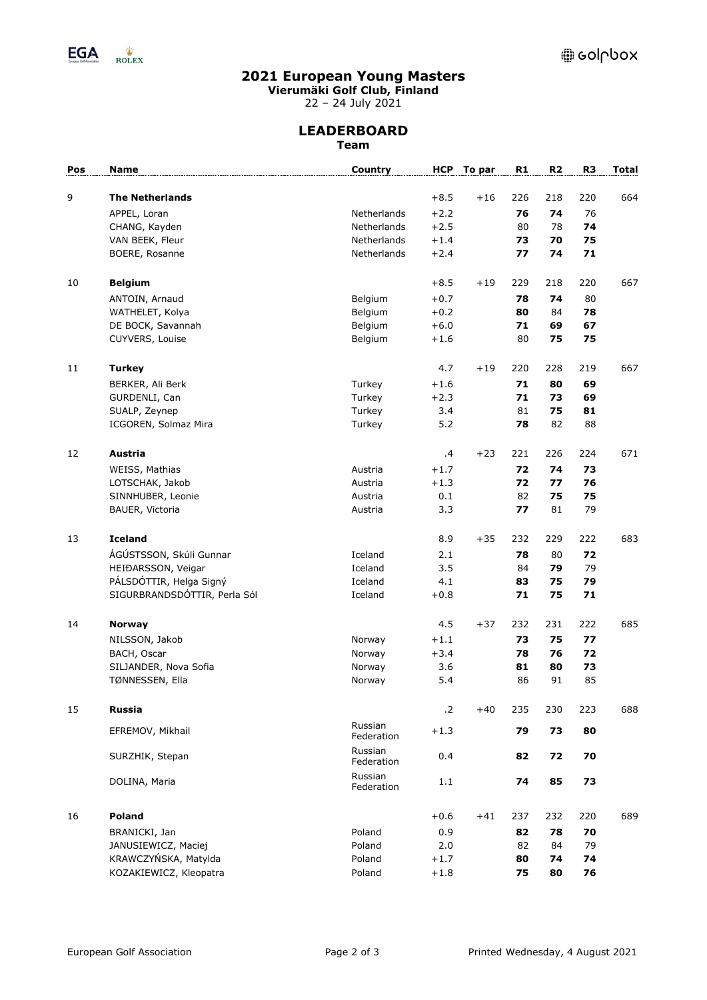

**Vierumäki Golf Club, Finland**

22 – 24 July 2021

## **LEADERBOARD Team**

| Pos | Name                         | <b>Country</b>        |            | HCP To par | R1  | R <sub>2</sub> | R <sub>3</sub> | <b>Total</b> |
|-----|------------------------------|-----------------------|------------|------------|-----|----------------|----------------|--------------|
|     |                              |                       |            |            |     |                |                |              |
| 9   | <b>The Netherlands</b>       |                       | $+8.5$     | $+16$      | 226 | 218            | 220            | 664          |
|     | APPEL, Loran                 | Netherlands           | $+2.2$     |            | 76  | 74             | 76             |              |
|     | CHANG, Kayden                | Netherlands           | $+2.5$     |            | 80  | 78             | 74             |              |
|     | VAN BEEK, Fleur              | Netherlands           | $+1.4$     |            | 73  | 70             | 75             |              |
|     | BOERE, Rosanne               | Netherlands           | $+2.4$     |            | 77  | 74             | 71             |              |
| 10  | <b>Belgium</b>               |                       | $+8.5$     | $+19$      | 229 | 218            | 220            | 667          |
|     | ANTOIN, Arnaud               | Belgium               | $+0.7$     |            | 78  | 74             | 80             |              |
|     | WATHELET, Kolya              | Belgium               | $+0.2$     |            | 80  | 84             | 78             |              |
|     | DE BOCK, Savannah            | Belgium               | $+6.0$     |            | 71  | 69             | 67             |              |
|     | CUYVERS, Louise              | Belgium               | $+1.6$     |            | 80  | 75             | 75             |              |
| 11  | <b>Turkey</b>                |                       | 4.7        | $+19$      | 220 | 228            | 219            | 667          |
|     | BERKER, Ali Berk             | Turkey                | $+1.6$     |            | 71  | 80             | 69             |              |
|     | GURDENLI, Can                | Turkey                | $+2.3$     |            | 71  | 73             | 69             |              |
|     | SUALP, Zeynep                | Turkey                | 3.4        |            | 81  | 75             | 81             |              |
|     | ICGOREN, Solmaz Mira         | Turkey                | 5.2        |            | 78  | 82             | 88             |              |
|     |                              |                       |            |            |     |                |                |              |
| 12  | Austria                      |                       | .4         | $+23$      | 221 | 226            | 224            | 671          |
|     | WEISS, Mathias               | Austria               | $+1.7$     |            | 72  | 74             | 73             |              |
|     | LOTSCHAK, Jakob              | Austria               | $+1.3$     |            | 72  | 77             | 76             |              |
|     | SINNHUBER, Leonie            | Austria               | 0.1        |            | 82  | 75             | 75             |              |
|     | BAUER, Victoria              | Austria               | 3.3        |            | 77  | 81             | 79             |              |
| 13  | <b>Iceland</b>               |                       | 8.9        | $+35$      | 232 | 229            | 222            | 683          |
|     | ÁGÚSTSSON, Skúli Gunnar      | Iceland               | 2.1        |            | 78  | 80             | 72             |              |
|     | HEIĐARSSON, Veigar           | Iceland               | 3.5        |            | 84  | 79             | 79             |              |
|     | PÁLSDÓTTIR, Helga Signý      | Iceland               | 4.1        |            | 83  | 75             | 79             |              |
|     | SIGURBRANDSDÓTTIR, Perla Sól | Iceland               | $+0.8$     |            | 71  | 75             | 71             |              |
| 14  | <b>Norway</b>                |                       | 4.5        | $+37$      | 232 | 231            | 222            | 685          |
|     | NILSSON, Jakob               | Norway                | $+1.1$     |            | 73  | 75             | 77             |              |
|     | BACH, Oscar                  | Norway                | $+3.4$     |            | 78  | 76             | 72             |              |
|     | SILJANDER, Nova Sofia        | Norway                | 3.6        |            | 81  | 80             | 73             |              |
|     | TØNNESSEN, Ella              | Norway                | 5.4        |            | 86  | 91             | 85             |              |
| 15  | <b>Russia</b>                |                       | $\cdot$ .2 | $+40$      | 235 | 230            | 223            | 688          |
|     | EFREMOV, Mikhail             | Russian<br>Federation | $+1.3$     |            | 79  | 73             | 80             |              |
|     | SURZHIK, Stepan              | Russian<br>Federation | 0.4        |            | 82  | 72             | 70             |              |
|     | DOLINA, Maria                | Russian<br>Federation | 1.1        |            | 74  | 85             | 73             |              |
| 16  | Poland                       |                       | $+0.6$     | $+41$      | 237 | 232            | 220            | 689          |
|     | BRANICKI, Jan                | Poland                | 0.9        |            | 82  | 78             | 70             |              |
|     | JANUSIEWICZ, Maciej          | Poland                | 2.0        |            | 82  | 84             | 79             |              |
|     | KRAWCZYŃSKA, Matylda         | Poland                | $+1.7$     |            | 80  | 74             | 74             |              |
|     | KOZAKIEWICZ, Kleopatra       | Poland                | $+1.8$     |            | 75  | 80             | 76             |              |
|     |                              |                       |            |            |     |                |                |              |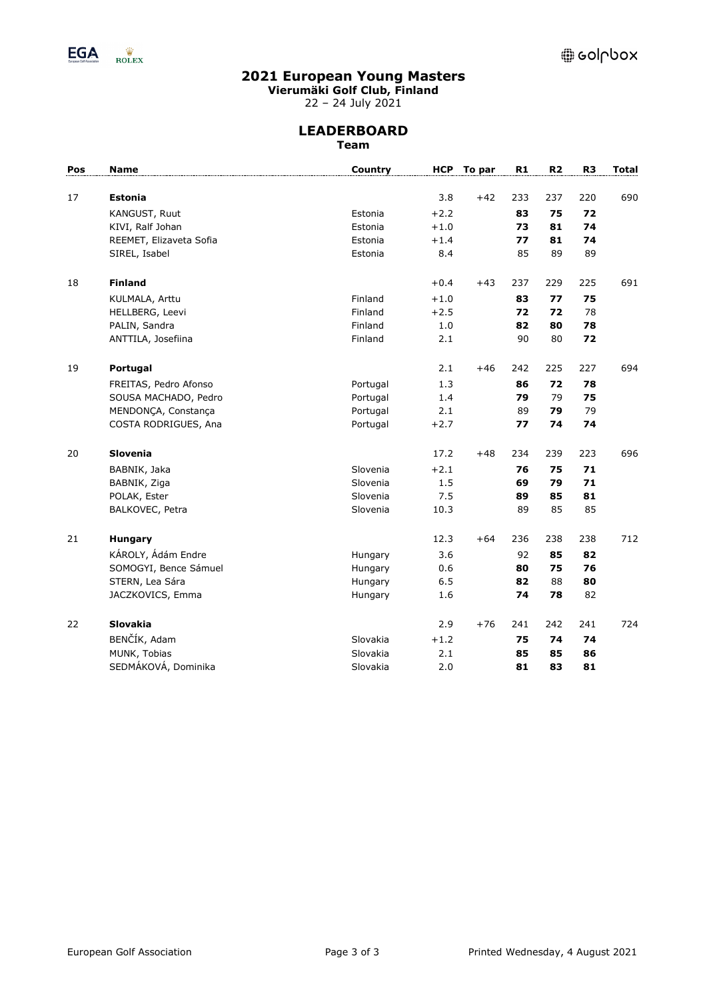

**Vierumäki Golf Club, Finland**

22 – 24 July 2021

## **LEADERBOARD Team**

| Pos | <b>Name</b>             | Country  | <b>HCP</b> | To par | R1  | R <sub>2</sub> | R <sub>3</sub> | <b>Total</b> |
|-----|-------------------------|----------|------------|--------|-----|----------------|----------------|--------------|
| 17  | <b>Estonia</b>          |          | 3.8        | $+42$  | 233 | 237            | 220            | 690          |
|     | KANGUST, Ruut           | Estonia  | $+2.2$     |        | 83  | 75             | 72             |              |
|     | KIVI, Ralf Johan        | Estonia  | $+1.0$     |        | 73  | 81             | 74             |              |
|     | REEMET, Elizaveta Sofia | Estonia  | $+1.4$     |        | 77  | 81             | 74             |              |
|     | SIREL, Isabel           | Estonia  | 8.4        |        | 85  | 89             | 89             |              |
| 18  | <b>Finland</b>          |          | $+0.4$     | $+43$  | 237 | 229            | 225            | 691          |
|     | KULMALA, Arttu          | Finland  | $+1.0$     |        | 83  | 77             | 75             |              |
|     | HELLBERG, Leevi         | Finland  | $+2.5$     |        | 72  | 72             | 78             |              |
|     | PALIN, Sandra           | Finland  | $1.0$      |        | 82  | 80             | 78             |              |
|     | ANTTILA, Josefiina      | Finland  | 2.1        |        | 90  | 80             | 72             |              |
| 19  | Portugal                |          | 2.1        | $+46$  | 242 | 225            | 227            | 694          |
|     | FREITAS, Pedro Afonso   | Portugal | 1.3        |        | 86  | 72             | 78             |              |
|     | SOUSA MACHADO, Pedro    | Portugal | 1.4        |        | 79  | 79             | 75             |              |
|     | MENDONÇA, Constança     | Portugal | 2.1        |        | 89  | 79             | 79             |              |
|     | COSTA RODRIGUES, Ana    | Portugal | $+2.7$     |        | 77  | 74             | 74             |              |
| 20  | Slovenia                |          | 17.2       | $+48$  | 234 | 239            | 223            | 696          |
|     | BABNIK, Jaka            | Slovenia | $+2.1$     |        | 76  | 75             | 71             |              |
|     | BABNIK, Ziga            | Slovenia | 1.5        |        | 69  | 79             | 71             |              |
|     | POLAK, Ester            | Slovenia | 7.5        |        | 89  | 85             | 81             |              |
|     | BALKOVEC, Petra         | Slovenia | 10.3       |        | 89  | 85             | 85             |              |
| 21  | <b>Hungary</b>          |          | 12.3       | $+64$  | 236 | 238            | 238            | 712          |
|     | KÁROLY, Ádám Endre      | Hungary  | 3.6        |        | 92  | 85             | 82             |              |
|     | SOMOGYI, Bence Sámuel   | Hungary  | 0.6        |        | 80  | 75             | 76             |              |
|     | STERN, Lea Sára         | Hungary  | 6.5        |        | 82  | 88             | 80             |              |
|     | JACZKOVICS, Emma        | Hungary  | 1.6        |        | 74  | 78             | 82             |              |
| 22  | <b>Slovakia</b>         |          | 2.9        | $+76$  | 241 | 242            | 241            | 724          |
|     | BENČÍK, Adam            | Slovakia | $+1.2$     |        | 75  | 74             | 74             |              |
|     | MUNK, Tobias            | Slovakia | 2.1        |        | 85  | 85             | 86             |              |
|     | SEDMÁKOVÁ, Dominika     | Slovakia | 2.0        |        | 81  | 83             | 81             |              |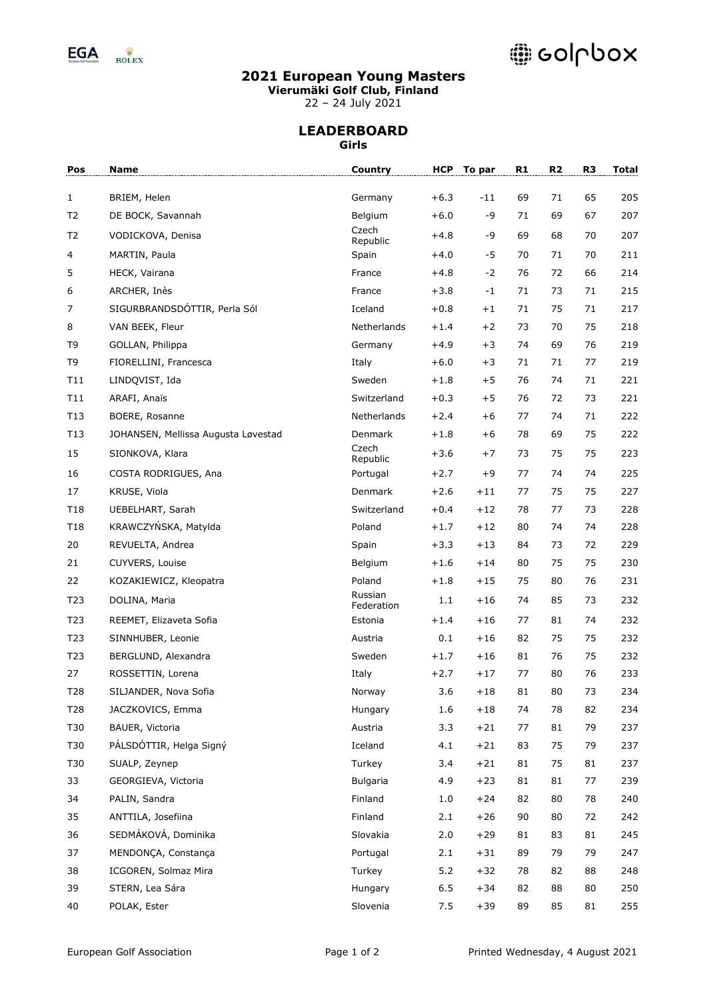

# @ colpbox

# **2021 European Young Masters**

**Vierumäki Golf Club, Finland**

22 – 24 July 2021

#### **LEADERBOARD Girls**

| Pos             | <b>Name</b>                         | Country               | <b>HCP</b> | To par | R1 | R2 | R <sub>3</sub> | <b>Total</b> |
|-----------------|-------------------------------------|-----------------------|------------|--------|----|----|----------------|--------------|
| $\mathbf{1}$    | BRIEM, Helen                        | Germany               | $+6.3$     | $-11$  | 69 | 71 | 65             | 205          |
| T <sub>2</sub>  | DE BOCK, Savannah                   | Belgium               | $+6.0$     | -9     | 71 | 69 | 67             | 207          |
| T <sub>2</sub>  | VODICKOVA, Denisa                   | Czech<br>Republic     | $+4.8$     | -9     | 69 | 68 | 70             | 207          |
| 4               | MARTIN, Paula                       | Spain                 | $+4.0$     | $-5$   | 70 | 71 | 70             | 211          |
| 5               | HECK, Vairana                       | France                | $+4.8$     | $-2$   | 76 | 72 | 66             | 214          |
| 6               | ARCHER, Inès                        | France                | $+3.8$     | $-1$   | 71 | 73 | 71             | 215          |
| 7               | SIGURBRANDSDÓTTIR, Perla Sól        | Iceland               | $+0.8$     | $+1$   | 71 | 75 | 71             | 217          |
| 8               | VAN BEEK, Fleur                     | Netherlands           | $+1.4$     | $+2$   | 73 | 70 | 75             | 218          |
| T9              | GOLLAN, Philippa                    | Germany               | $+4.9$     | $+3$   | 74 | 69 | 76             | 219          |
| T <sub>9</sub>  | FIORELLINI, Francesca               | Italy                 | $+6.0$     | $+3$   | 71 | 71 | 77             | 219          |
| T11             | LINDQVIST, Ida                      | Sweden                | $+1.8$     | $+5$   | 76 | 74 | 71             | 221          |
| T11             | ARAFI, Anaïs                        | Switzerland           | $+0.3$     | $+5$   | 76 | 72 | 73             | 221          |
| T13             | BOERE, Rosanne                      | Netherlands           | $+2.4$     | $+6$   | 77 | 74 | 71             | 222          |
| T13             | JOHANSEN, Mellissa Augusta Løvestad | Denmark               | $+1.8$     | $+6$   | 78 | 69 | 75             | 222          |
| 15              | SIONKOVA, Klara                     | Czech<br>Republic     | $+3.6$     | $+7$   | 73 | 75 | 75             | 223          |
| 16              | COSTA RODRIGUES, Ana                | Portugal              | $+2.7$     | $+9$   | 77 | 74 | 74             | 225          |
| 17              | KRUSE, Viola                        | Denmark               | $+2.6$     | $+11$  | 77 | 75 | 75             | 227          |
| T18             | UEBELHART, Sarah                    | Switzerland           | $+0.4$     | $+12$  | 78 | 77 | 73             | 228          |
| T18             | KRAWCZYŃSKA, Matylda                | Poland                | $+1.7$     | $+12$  | 80 | 74 | 74             | 228          |
| 20              | REVUELTA, Andrea                    | Spain                 | $+3.3$     | $+13$  | 84 | 73 | 72             | 229          |
| 21              | CUYVERS, Louise                     | Belgium               | $+1.6$     | $+14$  | 80 | 75 | 75             | 230          |
| 22              | KOZAKIEWICZ, Kleopatra              | Poland                | $+1.8$     | $+15$  | 75 | 80 | 76             | 231          |
| T23             | DOLINA, Maria                       | Russian<br>Federation | 1.1        | $+16$  | 74 | 85 | 73             | 232          |
| T <sub>23</sub> | REEMET, Elizaveta Sofia             | Estonia               | $+1.4$     | $+16$  | 77 | 81 | 74             | 232          |
| T23             | SINNHUBER, Leonie                   | Austria               | 0.1        | $+16$  | 82 | 75 | 75             | 232          |
| T <sub>23</sub> | BERGLUND, Alexandra                 | Sweden                | $+1.7$     | $+16$  | 81 | 76 | 75             | 232          |
| 27              | ROSSETTIN, Lorena                   | Italy                 | $+2.7$     | $+17$  | 77 | 80 | 76             | 233          |
| T28             | SILJANDER, Nova Sofia               | Norway                | 3.6        | $+18$  | 81 | 80 | 73             | 234          |
| T28             | JACZKOVICS, Emma                    | Hungary               | 1.6        | $+18$  | 74 | 78 | 82             | 234          |
| T30             | BAUER, Victoria                     | Austria               | 3.3        | $+21$  | 77 | 81 | 79             | 237          |
| T30             | PÁLSDÓTTIR, Helga Signý             | Iceland               | 4.1        | $+21$  | 83 | 75 | 79             | 237          |
| T30             | SUALP, Zeynep                       | Turkey                | 3.4        | $+21$  | 81 | 75 | 81             | 237          |
| 33              | GEORGIEVA, Victoria                 | <b>Bulgaria</b>       | 4.9        | $+23$  | 81 | 81 | 77             | 239          |
| 34              | PALIN, Sandra                       | Finland               | 1.0        | $+24$  | 82 | 80 | 78             | 240          |
| 35              | ANTTILA, Josefiina                  | Finland               | 2.1        | $+26$  | 90 | 80 | 72             | 242          |
| 36              | SEDMÁKOVÁ, Dominika                 | Slovakia              | 2.0        | $+29$  | 81 | 83 | 81             | 245          |
| 37              | MENDONÇA, Constança                 | Portugal              | 2.1        | $+31$  | 89 | 79 | 79             | 247          |
| 38              | ICGOREN, Solmaz Mira                | Turkey                | $5.2$      | $+32$  | 78 | 82 | 88             | 248          |
| 39              | STERN, Lea Sára                     | Hungary               | $6.5$      | $+34$  | 82 | 88 | 80             | 250          |
| 40              | POLAK, Ester                        | Slovenia              | 7.5        | $+39$  | 89 | 85 | 81             | 255          |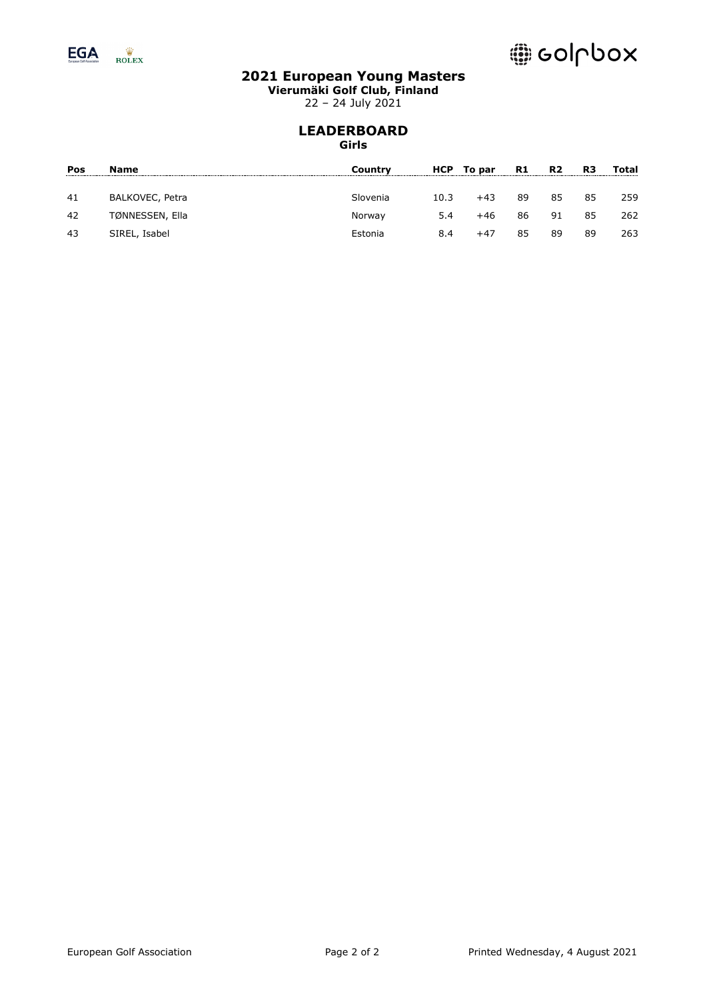

**Vierumäki Golf Club, Finland**

22 – 24 July 2021

#### **LEADERBOARD Girls**

| Name            | Country  |      |       | R1         | R <sub>2</sub> | R3 | Total |
|-----------------|----------|------|-------|------------|----------------|----|-------|
| BALKOVEC, Petra | Slovenia | 10.3 | $+43$ | 89         | 85             | 85 | 259   |
| TØNNESSEN, Ella | Norway   | 5.4  | $+46$ | 86         | 91             | 85 | 262   |
| SIREL, Isabel   | Estonia  | 8.4  | $+47$ | 85         | 89             | 89 | 263   |
|                 |          |      |       | HCP To par |                |    |       |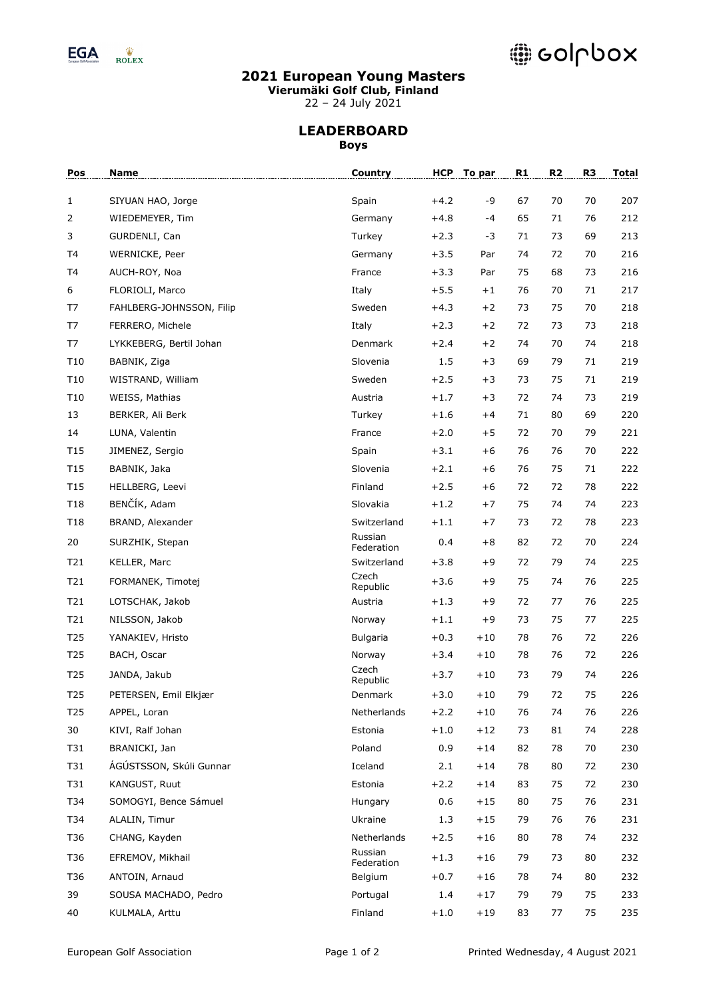

# @ colpbox

# **2021 European Young Masters**

**Vierumäki Golf Club, Finland**

22 – 24 July 2021

## **LEADERBOARD Boys**

| Pos             | Name                     | <b>Country</b>        |        | HCP To par | R1 | R2 | R <sub>3</sub> | <b>Total</b> |
|-----------------|--------------------------|-----------------------|--------|------------|----|----|----------------|--------------|
| $\mathbf{1}$    | SIYUAN HAO, Jorge        | Spain                 | $+4.2$ | -9         | 67 | 70 | 70             | 207          |
| 2               | WIEDEMEYER, Tim          | Germany               | $+4.8$ | $-4$       | 65 | 71 | 76             | 212          |
| 3               | GURDENLI, Can            | Turkey                | $+2.3$ | -3         | 71 | 73 | 69             | 213          |
| T4              | WERNICKE, Peer           | Germany               | $+3.5$ | Par        | 74 | 72 | 70             | 216          |
| T4              | AUCH-ROY, Noa            | France                | $+3.3$ | Par        | 75 | 68 | 73             | 216          |
| 6               | FLORIOLI, Marco          | Italy                 | $+5.5$ | $+1$       | 76 | 70 | 71             | 217          |
| T7              | FAHLBERG-JOHNSSON, Filip | Sweden                | $+4.3$ | $+2$       | 73 | 75 | 70             | 218          |
| T7              | FERRERO, Michele         | Italy                 | $+2.3$ | $+2$       | 72 | 73 | 73             | 218          |
| T7              | LYKKEBERG, Bertil Johan  | Denmark               | $+2.4$ | $+2$       | 74 | 70 | 74             | 218          |
| T10             | BABNIK, Ziga             | Slovenia              | 1.5    | $+3$       | 69 | 79 | 71             | 219          |
| T10             | WISTRAND, William        | Sweden                | $+2.5$ | $+3$       | 73 | 75 | 71             | 219          |
| T10             | WEISS, Mathias           | Austria               | $+1.7$ | $+3$       | 72 | 74 | 73             | 219          |
| 13              | BERKER, Ali Berk         | Turkey                | $+1.6$ | $+4$       | 71 | 80 | 69             | 220          |
| 14              | LUNA, Valentin           | France                | $+2.0$ | $+5$       | 72 | 70 | 79             | 221          |
| T <sub>15</sub> | JIMENEZ, Sergio          | Spain                 | $+3.1$ | $+6$       | 76 | 76 | 70             | 222          |
| T <sub>15</sub> | BABNIK, Jaka             | Slovenia              | $+2.1$ | $+6$       | 76 | 75 | 71             | 222          |
| T15             | HELLBERG, Leevi          | Finland               | $+2.5$ | $+6$       | 72 | 72 | 78             | 222          |
| T18             | BENČÍK, Adam             | Slovakia              | $+1.2$ | $+7$       | 75 | 74 | 74             | 223          |
| T <sub>18</sub> | BRAND, Alexander         | Switzerland           | $+1.1$ | $+7$       | 73 | 72 | 78             | 223          |
| 20              | SURZHIK, Stepan          | Russian<br>Federation | 0.4    | $+8$       | 82 | 72 | 70             | 224          |
| T21             | KELLER, Marc             | Switzerland           | $+3.8$ | $+9$       | 72 | 79 | 74             | 225          |
| T21             | FORMANEK, Timotej        | Czech<br>Republic     | $+3.6$ | $+9$       | 75 | 74 | 76             | 225          |
| T21             | LOTSCHAK, Jakob          | Austria               | $+1.3$ | $+9$       | 72 | 77 | 76             | 225          |
| T21             | NILSSON, Jakob           | Norway                | $+1.1$ | $+9$       | 73 | 75 | 77             | 225          |
| T25             | YANAKIEV, Hristo         | Bulgaria              | $+0.3$ | $+10$      | 78 | 76 | 72             | 226          |
| T25             | BACH, Oscar              | Norway                | $+3.4$ | $+10$      | 78 | 76 | 72             | 226          |
| T <sub>25</sub> | JANDA, Jakub             | Czech<br>Republic     | $+3.7$ | $+10$      | 73 | 79 | 74             | 226          |
| T <sub>25</sub> | PETERSEN, Emil Elkjær    | Denmark               | $+3.0$ | $+10$      | 79 | 72 | 75             | 226          |
| T <sub>25</sub> | APPEL, Loran             | Netherlands           | $+2.2$ | $+10$      | 76 | 74 | 76             | 226          |
| 30              | KIVI, Ralf Johan         | Estonia               | $+1.0$ | $+12$      | 73 | 81 | 74             | 228          |
| T31             | BRANICKI, Jan            | Poland                | 0.9    | $+14$      | 82 | 78 | 70             | 230          |
| T31             | ÁGÚSTSSON, Skúli Gunnar  | Iceland               | 2.1    | $+14$      | 78 | 80 | 72             | 230          |
| T31             | KANGUST, Ruut            | Estonia               | $+2.2$ | $+14$      | 83 | 75 | 72             | 230          |
| T34             | SOMOGYI, Bence Sámuel    | Hungary               | 0.6    | $+15$      | 80 | 75 | 76             | 231          |
| T34             | ALALIN, Timur            | Ukraine               | 1.3    | $+15$      | 79 | 76 | 76             | 231          |
| T36             | CHANG, Kayden            | Netherlands           | $+2.5$ | $+16$      | 80 | 78 | 74             | 232          |
| T36             | EFREMOV, Mikhail         | Russian<br>Federation | $+1.3$ | $+16$      | 79 | 73 | 80             | 232          |
| T36             | ANTOIN, Arnaud           | Belgium               | $+0.7$ | $+16$      | 78 | 74 | 80             | 232          |
| 39              | SOUSA MACHADO, Pedro     | Portugal              | 1.4    | $+17$      | 79 | 79 | 75             | 233          |
| 40              | KULMALA, Arttu           | Finland               | $+1.0$ | $+19$      | 83 | 77 | 75             | 235          |